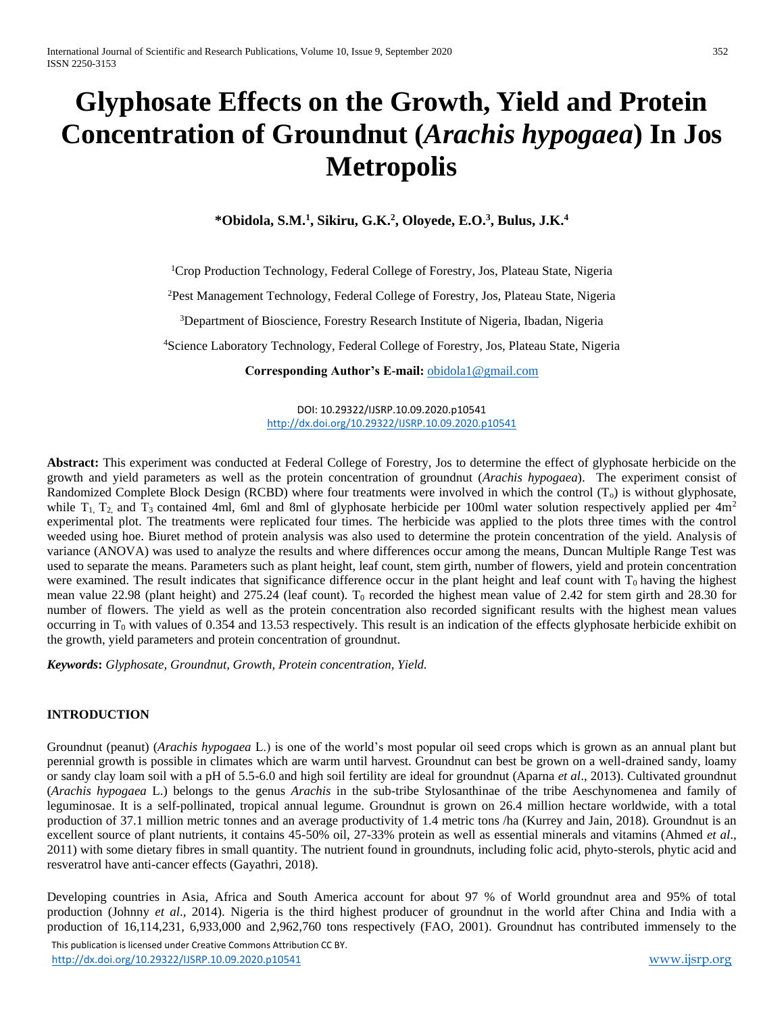# **Glyphosate Effects on the Growth, Yield and Protein Concentration of Groundnut (***Arachis hypogaea***) In Jos Metropolis**

**\*Obidola, S.M.<sup>1</sup> , Sikiru, G.K.<sup>2</sup> , Oloyede, E.O.<sup>3</sup> , Bulus, J.K.<sup>4</sup>**

<sup>1</sup>Crop Production Technology, Federal College of Forestry, Jos, Plateau State, Nigeria

<sup>2</sup>Pest Management Technology, Federal College of Forestry, Jos, Plateau State, Nigeria

<sup>3</sup>Department of Bioscience, Forestry Research Institute of Nigeria, Ibadan, Nigeria

<sup>4</sup>Science Laboratory Technology, Federal College of Forestry, Jos, Plateau State, Nigeria

**Corresponding Author's E-mail:** [obidola1@gmail.com](mailto:obidola1@gmail.com)

DOI: 10.29322/IJSRP.10.09.2020.p10541 <http://dx.doi.org/10.29322/IJSRP.10.09.2020.p10541>

**Abstract:** This experiment was conducted at Federal College of Forestry, Jos to determine the effect of glyphosate herbicide on the growth and yield parameters as well as the protein concentration of groundnut (*Arachis hypogaea*). The experiment consist of Randomized Complete Block Design (RCBD) where four treatments were involved in which the control  $(T_0)$  is without glyphosate, while  $T_1$ ,  $T_2$  and  $T_3$  contained 4ml, 6ml and 8ml of glyphosate herbicide per 100ml water solution respectively applied per 4m<sup>2</sup> experimental plot. The treatments were replicated four times. The herbicide was applied to the plots three times with the control weeded using hoe. Biuret method of protein analysis was also used to determine the protein concentration of the yield. Analysis of variance (ANOVA) was used to analyze the results and where differences occur among the means, Duncan Multiple Range Test was used to separate the means. Parameters such as plant height, leaf count, stem girth, number of flowers, yield and protein concentration were examined. The result indicates that significance difference occur in the plant height and leaf count with  $T_0$  having the highest mean value 22.98 (plant height) and 275.24 (leaf count). T<sub>0</sub> recorded the highest mean value of 2.42 for stem girth and 28.30 for number of flowers. The yield as well as the protein concentration also recorded significant results with the highest mean values occurring in  $T_0$  with values of 0.354 and 13.53 respectively. This result is an indication of the effects glyphosate herbicide exhibit on the growth, yield parameters and protein concentration of groundnut.

*Keywords***:** *Glyphosate, Groundnut, Growth, Protein concentration, Yield.*

## **INTRODUCTION**

Groundnut (peanut) (*Arachis hypogaea* L.) is one of the world's most popular oil seed crops which is grown as an annual plant but perennial growth is possible in climates which are warm until harvest. Groundnut can best be grown on a well-drained sandy, loamy or sandy clay loam soil with a pH of 5.5-6.0 and high soil fertility are ideal for groundnut (Aparna *et al*., 2013). Cultivated groundnut (*Arachis hypogaea* L.) belongs to the genus *Arachis* in the sub-tribe Stylosanthinae of the tribe Aeschynomenea and family of leguminosae. It is a self-pollinated, tropical annual legume. Groundnut is grown on 26.4 million hectare worldwide, with a total production of 37.1 million metric tonnes and an average productivity of 1.4 metric tons /ha (Kurrey and Jain, 2018). Groundnut is an excellent source of plant nutrients, it contains 45-50% oil, 27-33% protein as well as essential minerals and vitamins (Ahmed *et al*., 2011) with some dietary fibres in small quantity. The nutrient found in groundnuts, including folic acid, phyto-sterols, phytic acid and resveratrol have anti-cancer effects (Gayathri, 2018).

Developing countries in Asia, Africa and South America account for about 97 % of World groundnut area and 95% of total production (Johnny *et al*., 2014). Nigeria is the third highest producer of groundnut in the world after China and India with a production of 16,114,231, 6,933,000 and 2,962,760 tons respectively (FAO, 2001). Groundnut has contributed immensely to the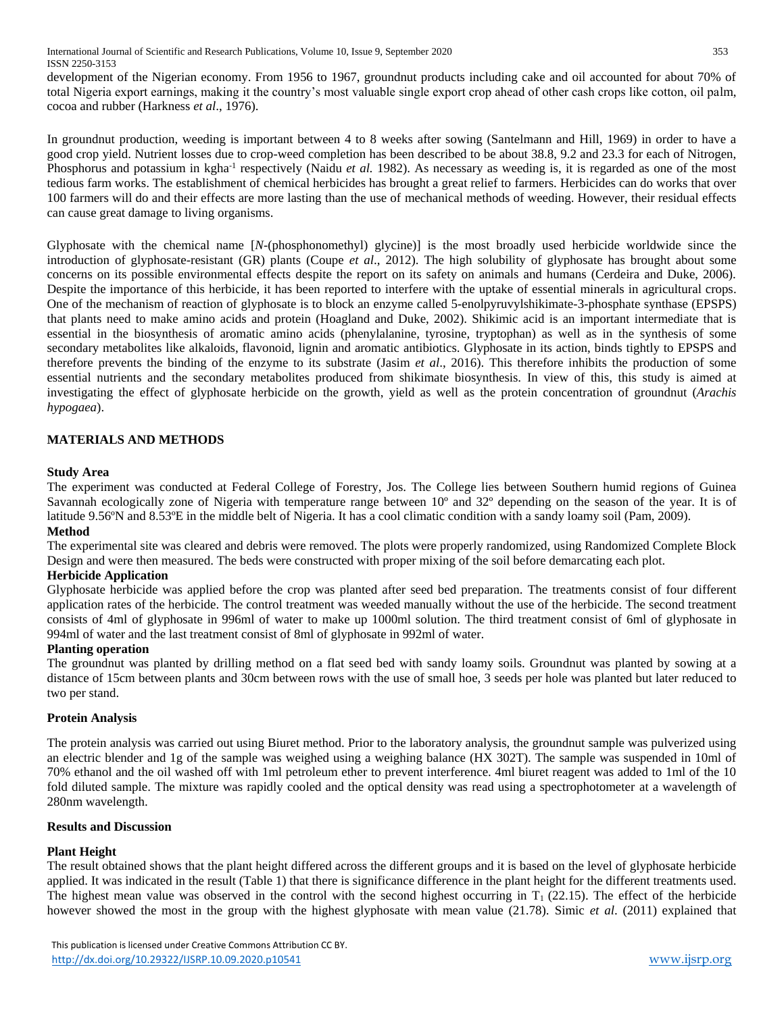development of the Nigerian economy. From 1956 to 1967, groundnut products including cake and oil accounted for about 70% of total Nigeria export earnings, making it the country's most valuable single export crop ahead of other cash crops like cotton, oil palm, cocoa and rubber (Harkness *et al*., 1976).

In groundnut production, weeding is important between 4 to 8 weeks after sowing (Santelmann and Hill, 1969) in order to have a good crop yield. Nutrient losses due to crop-weed completion has been described to be about 38.8, 9.2 and 23.3 for each of Nitrogen, Phosphorus and potassium in kgha<sup>-1</sup> respectively (Naidu *et al.* 1982). As necessary as weeding is, it is regarded as one of the most tedious farm works. The establishment of chemical herbicides has brought a great relief to farmers. Herbicides can do works that over 100 farmers will do and their effects are more lasting than the use of mechanical methods of weeding. However, their residual effects can cause great damage to living organisms.

Glyphosate with the chemical name [*N*-(phosphonomethyl) glycine)] is the most broadly used herbicide worldwide since the introduction of glyphosate-resistant (GR) plants (Coupe *et al*., 2012). The high solubility of glyphosate has brought about some concerns on its possible environmental effects despite the report on its safety on animals and humans (Cerdeira and Duke, 2006). Despite the importance of this herbicide, it has been reported to interfere with the uptake of essential minerals in agricultural crops. One of the mechanism of reaction of glyphosate is to block an enzyme called 5-enolpyruvylshikimate-3-phosphate synthase (EPSPS) that plants need to make amino acids and protein (Hoagland and Duke, 2002). Shikimic acid is an important intermediate that is essential in the biosynthesis of aromatic amino acids (phenylalanine, tyrosine, tryptophan) as well as in the synthesis of some secondary metabolites like alkaloids, flavonoid, lignin and aromatic antibiotics. Glyphosate in its action, binds tightly to EPSPS and therefore prevents the binding of the enzyme to its substrate (Jasim *et al*., 2016). This therefore inhibits the production of some essential nutrients and the secondary metabolites produced from shikimate biosynthesis. In view of this, this study is aimed at investigating the effect of glyphosate herbicide on the growth, yield as well as the protein concentration of groundnut (*Arachis hypogaea*).

## **MATERIALS AND METHODS**

## **Study Area**

The experiment was conducted at Federal College of Forestry, Jos. The College lies between Southern humid regions of Guinea Savannah ecologically zone of Nigeria with temperature range between 10<sup>°</sup> and 32<sup>°</sup> depending on the season of the year. It is of latitude 9.56ºN and 8.53ºE in the middle belt of Nigeria. It has a cool climatic condition with a sandy loamy soil (Pam, 2009). **Method**

The experimental site was cleared and debris were removed. The plots were properly randomized, using Randomized Complete Block Design and were then measured. The beds were constructed with proper mixing of the soil before demarcating each plot.

## **Herbicide Application**

Glyphosate herbicide was applied before the crop was planted after seed bed preparation. The treatments consist of four different application rates of the herbicide. The control treatment was weeded manually without the use of the herbicide. The second treatment consists of 4ml of glyphosate in 996ml of water to make up 1000ml solution. The third treatment consist of 6ml of glyphosate in 994ml of water and the last treatment consist of 8ml of glyphosate in 992ml of water.

## **Planting operation**

The groundnut was planted by drilling method on a flat seed bed with sandy loamy soils. Groundnut was planted by sowing at a distance of 15cm between plants and 30cm between rows with the use of small hoe, 3 seeds per hole was planted but later reduced to two per stand.

## **Protein Analysis**

The protein analysis was carried out using Biuret method. Prior to the laboratory analysis, the groundnut sample was pulverized using an electric blender and 1g of the sample was weighed using a weighing balance (HX 302T). The sample was suspended in 10ml of 70% ethanol and the oil washed off with 1ml petroleum ether to prevent interference. 4ml biuret reagent was added to 1ml of the 10 fold diluted sample. The mixture was rapidly cooled and the optical density was read using a spectrophotometer at a wavelength of 280nm wavelength.

## **Results and Discussion**

## **Plant Height**

The result obtained shows that the plant height differed across the different groups and it is based on the level of glyphosate herbicide applied. It was indicated in the result (Table 1) that there is significance difference in the plant height for the different treatments used. The highest mean value was observed in the control with the second highest occurring in  $T_1$  (22.15). The effect of the herbicide however showed the most in the group with the highest glyphosate with mean value (21.78). Simic *et al*. (2011) explained that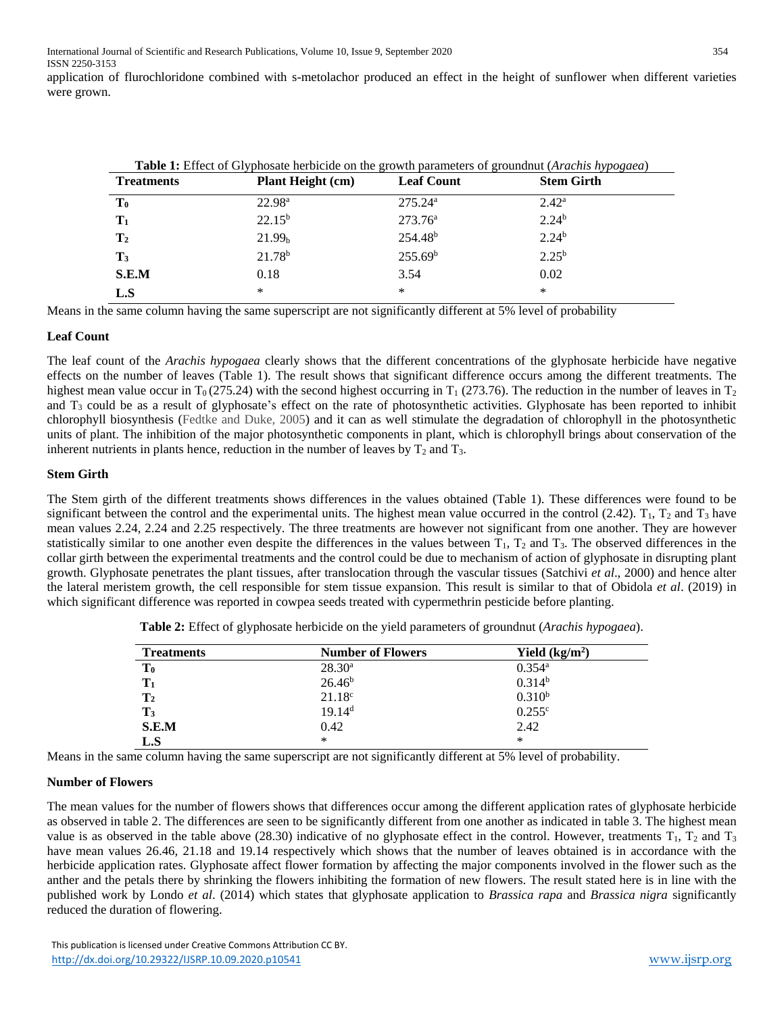application of flurochloridone combined with s-metolachor produced an effect in the height of sunflower when different varieties were grown.

| Table 1: Effect of Glyphosate herbicide on the growth parameters of groundnut (Arachis hypogaea) |                          |                     |                   |  |
|--------------------------------------------------------------------------------------------------|--------------------------|---------------------|-------------------|--|
| <b>Treatments</b>                                                                                | <b>Plant Height (cm)</b> | <b>Leaf Count</b>   | <b>Stem Girth</b> |  |
| $\mathbf{T_0}$                                                                                   | 22.98 <sup>a</sup>       | 275.24a             | 2.42 <sup>a</sup> |  |
| $\mathbf{T}_1$                                                                                   | $22.15^{b}$              | $273.76^{\rm a}$    | 2.24 <sup>b</sup> |  |
| $\mathbf{T}_2$                                                                                   | 21.99 <sub>b</sub>       | 254.48 <sup>b</sup> | 2.24 <sup>b</sup> |  |
| $\mathbf{T}_3$                                                                                   | $21.78^{b}$              | 255.69 <sup>b</sup> | $2.25^{b}$        |  |
| S.E.M                                                                                            | 0.18                     | 3.54                | 0.02              |  |
| L.S                                                                                              | *                        | *                   | *                 |  |

Means in the same column having the same superscript are not significantly different at 5% level of probability

#### **Leaf Count**

The leaf count of the *Arachis hypogaea* clearly shows that the different concentrations of the glyphosate herbicide have negative effects on the number of leaves (Table 1). The result shows that significant difference occurs among the different treatments. The highest mean value occur in T<sub>0</sub> (275.24) with the second highest occurring in T<sub>1</sub> (273.76). The reduction in the number of leaves in T<sub>2</sub> and  $T_3$  could be as a result of glyphosate's effect on the rate of photosynthetic activities. Glyphosate has been reported to inhibit chlorophyll biosynthesis (Fedtke and Duke, 2005) and it can as well stimulate the degradation of chlorophyll in the photosynthetic units of plant. The inhibition of the major photosynthetic components in plant, which is chlorophyll brings about conservation of the inherent nutrients in plants hence, reduction in the number of leaves by  $T_2$  and  $T_3$ .

#### **Stem Girth**

The Stem girth of the different treatments shows differences in the values obtained (Table 1). These differences were found to be significant between the control and the experimental units. The highest mean value occurred in the control  $(2.42)$ .  $T_1$ ,  $T_2$  and  $T_3$  have mean values 2.24, 2.24 and 2.25 respectively. The three treatments are however not significant from one another. They are however statistically similar to one another even despite the differences in the values between  $T_1$ ,  $T_2$  and  $T_3$ . The observed differences in the collar girth between the experimental treatments and the control could be due to mechanism of action of glyphosate in disrupting plant growth. Glyphosate penetrates the plant tissues, after translocation through the vascular tissues (Satchivi *et al*., 2000) and hence alter the lateral meristem growth, the cell responsible for stem tissue expansion. This result is similar to that of Obidola *et al*. (2019) in which significant difference was reported in cowpea seeds treated with cypermethrin pesticide before planting.

| <b>Treatments</b> | <b>Number of Flowers</b> | Yield $(kg/m2)$      |
|-------------------|--------------------------|----------------------|
| T <sub>0</sub>    | $28.30^a$                | $0.354$ <sup>a</sup> |
| $T_1$             | 26.46 <sup>b</sup>       | $0.314^{b}$          |
| $\mathbf{T}_2$    | $21.18^{\circ}$          | $0.310^{b}$          |
| $\mathbf{T}_3$    | 19.14 <sup>d</sup>       | $0.255^{\circ}$      |
| S.E.M             | 0.42                     | 2.42                 |
| L.S               | $\ast$                   | ∗                    |

**Table 2:** Effect of glyphosate herbicide on the yield parameters of groundnut (*Arachis hypogaea*).

Means in the same column having the same superscript are not significantly different at 5% level of probability.

#### **Number of Flowers**

The mean values for the number of flowers shows that differences occur among the different application rates of glyphosate herbicide as observed in table 2. The differences are seen to be significantly different from one another as indicated in table 3. The highest mean value is as observed in the table above (28.30) indicative of no glyphosate effect in the control. However, treatments  $T_1$ ,  $T_2$  and  $T_3$ have mean values 26.46, 21.18 and 19.14 respectively which shows that the number of leaves obtained is in accordance with the herbicide application rates. Glyphosate affect flower formation by affecting the major components involved in the flower such as the anther and the petals there by shrinking the flowers inhibiting the formation of new flowers. The result stated here is in line with the published work by Londo *et al*. (2014) which states that glyphosate application to *Brassica rapa* and *Brassica nigra* significantly reduced the duration of flowering.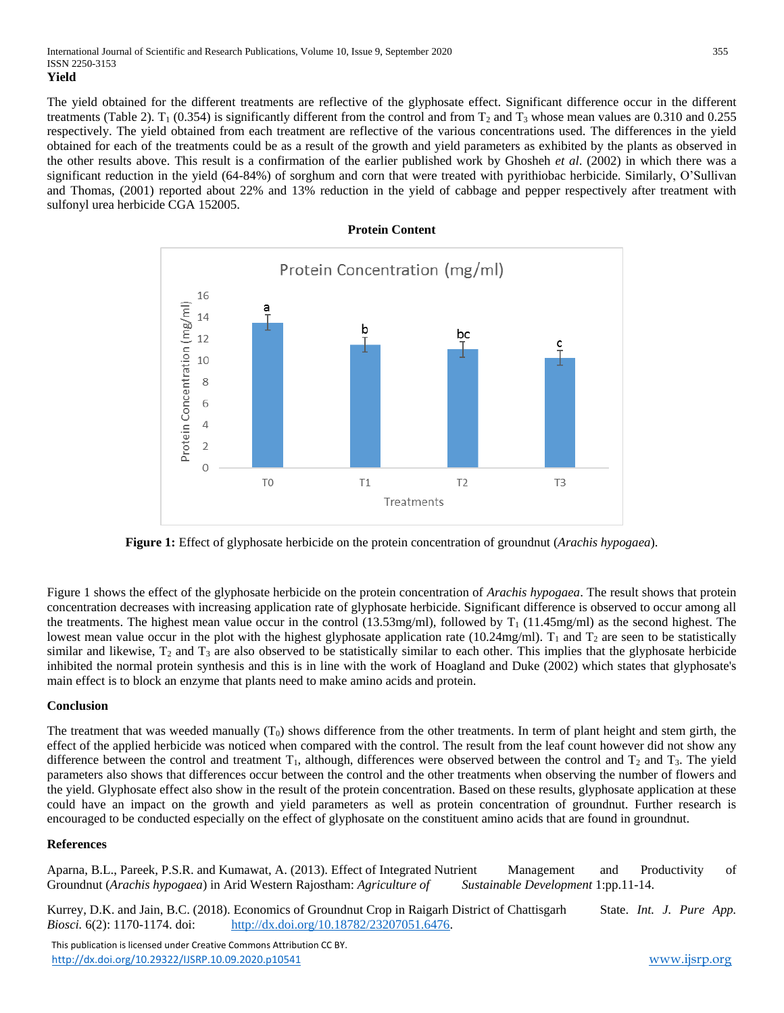The yield obtained for the different treatments are reflective of the glyphosate effect. Significant difference occur in the different treatments (Table 2). T<sub>1</sub> (0.354) is significantly different from the control and from T<sub>2</sub> and T<sub>3</sub> whose mean values are 0.310 and 0.255 respectively. The yield obtained from each treatment are reflective of the various concentrations used. The differences in the yield obtained for each of the treatments could be as a result of the growth and yield parameters as exhibited by the plants as observed in the other results above. This result is a confirmation of the earlier published work by Ghosheh *et al*. (2002) in which there was a significant reduction in the yield (64-84%) of sorghum and corn that were treated with pyrithiobac herbicide. Similarly, O'Sullivan and Thomas, (2001) reported about 22% and 13% reduction in the yield of cabbage and pepper respectively after treatment with sulfonyl urea herbicide CGA 152005.



**Figure 1:** Effect of glyphosate herbicide on the protein concentration of groundnut (*Arachis hypogaea*).

Figure 1 shows the effect of the glyphosate herbicide on the protein concentration of *Arachis hypogaea*. The result shows that protein concentration decreases with increasing application rate of glyphosate herbicide. Significant difference is observed to occur among all the treatments. The highest mean value occur in the control  $(13.53mg/ml)$ , followed by  $T_1$   $(11.45mg/ml)$  as the second highest. The lowest mean value occur in the plot with the highest glyphosate application rate (10.24mg/ml).  $T_1$  and  $T_2$  are seen to be statistically similar and likewise,  $T_2$  and  $T_3$  are also observed to be statistically similar to each other. This implies that the glyphosate herbicide inhibited the normal protein synthesis and this is in line with the work of Hoagland and Duke (2002) which states that glyphosate's main effect is to block an enzyme that plants need to make amino acids and protein.

#### **Conclusion**

The treatment that was weeded manually  $(T_0)$  shows difference from the other treatments. In term of plant height and stem girth, the effect of the applied herbicide was noticed when compared with the control. The result from the leaf count however did not show any difference between the control and treatment  $T_1$ , although, differences were observed between the control and  $T_2$  and  $T_3$ . The yield parameters also shows that differences occur between the control and the other treatments when observing the number of flowers and the yield. Glyphosate effect also show in the result of the protein concentration. Based on these results, glyphosate application at these could have an impact on the growth and yield parameters as well as protein concentration of groundnut. Further research is encouraged to be conducted especially on the effect of glyphosate on the constituent amino acids that are found in groundnut.

#### **References**

Aparna, B.L., Pareek, P.S.R. and Kumawat, A. (2013). Effect of Integrated Nutrient Management and Productivity of Groundnut (*Arachis hypogaea*) in Arid Western Rajostham: *Agriculture of Sustainable Development* 1:pp.11-14.

Kurrey, D.K. and Jain, B.C. (2018). Economics of Groundnut Crop in Raigarh District of Chattisgarh State. *Int. J. Pure App. Biosci.* 6(2): 1170-1174. doi: [http://dx.doi.org/10.18782/23207051.6476.](http://dx.doi.org/10.18782/23207051.6476)

 This publication is licensed under Creative Commons Attribution CC BY. <http://dx.doi.org/10.29322/IJSRP.10.09.2020.p10541> [www.ijsrp.org](http://ijsrp.org/)